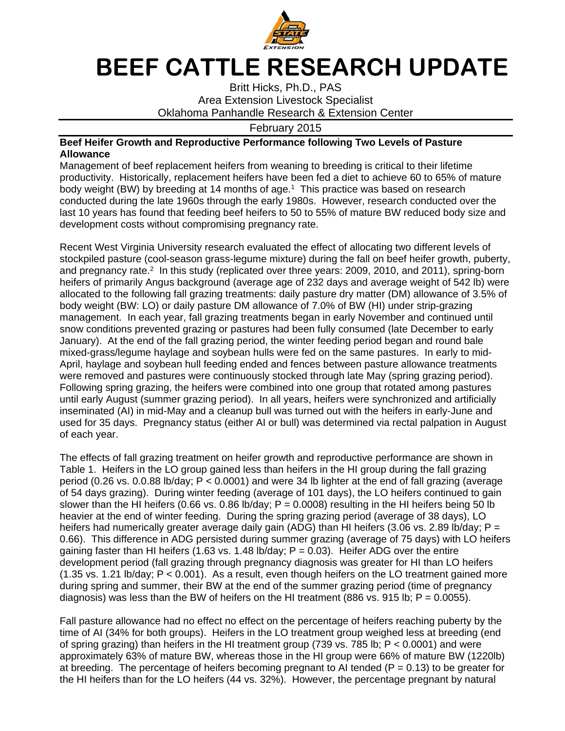

## **BEEF CATTLE RESEARCH UPDATE**

Britt Hicks, Ph.D., PAS Area Extension Livestock Specialist Oklahoma Panhandle Research & Extension Center

February 2015

## **Beef Heifer Growth and Reproductive Performance following Two Levels of Pasture Allowance**

Management of beef replacement heifers from weaning to breeding is critical to their lifetime productivity. Historically, replacement heifers have been fed a diet to achieve 60 to 65% of mature body weight (BW) by breeding at 14 months of age.<sup>1</sup> This practice was based on research conducted during the late 1960s through the early 1980s. However, research conducted over the last 10 years has found that feeding beef heifers to 50 to 55% of mature BW reduced body size and development costs without compromising pregnancy rate.

Recent West Virginia University research evaluated the effect of allocating two different levels of stockpiled pasture (cool-season grass-legume mixture) during the fall on beef heifer growth, puberty, and pregnancy rate.<sup>2</sup> In this study (replicated over three years: 2009, 2010, and 2011), spring-born heifers of primarily Angus background (average age of 232 days and average weight of 542 lb) were allocated to the following fall grazing treatments: daily pasture dry matter (DM) allowance of 3.5% of body weight (BW: LO) or daily pasture DM allowance of 7.0% of BW (HI) under strip-grazing management. In each year, fall grazing treatments began in early November and continued until snow conditions prevented grazing or pastures had been fully consumed (late December to early January). At the end of the fall grazing period, the winter feeding period began and round bale mixed-grass/legume haylage and soybean hulls were fed on the same pastures. In early to mid-April, haylage and soybean hull feeding ended and fences between pasture allowance treatments were removed and pastures were continuously stocked through late May (spring grazing period). Following spring grazing, the heifers were combined into one group that rotated among pastures until early August (summer grazing period). In all years, heifers were synchronized and artificially inseminated (AI) in mid-May and a cleanup bull was turned out with the heifers in early-June and used for 35 days. Pregnancy status (either AI or bull) was determined via rectal palpation in August of each year.

The effects of fall grazing treatment on heifer growth and reproductive performance are shown in Table 1. Heifers in the LO group gained less than heifers in the HI group during the fall grazing period (0.26 vs. 0.0.88 lb/day; P < 0.0001) and were 34 lb lighter at the end of fall grazing (average of 54 days grazing). During winter feeding (average of 101 days), the LO heifers continued to gain slower than the HI heifers (0.66 vs. 0.86 lb/day;  $P = 0.0008$ ) resulting in the HI heifers being 50 lb heavier at the end of winter feeding. During the spring grazing period (average of 38 days), LO heifers had numerically greater average daily gain (ADG) than HI heifers (3.06 vs. 2.89 lb/day; P = 0.66). This difference in ADG persisted during summer grazing (average of 75 days) with LO heifers gaining faster than HI heifers (1.63 vs. 1.48 lb/day;  $P = 0.03$ ). Heifer ADG over the entire development period (fall grazing through pregnancy diagnosis was greater for HI than LO heifers (1.35 vs. 1.21 lb/day; P < 0.001). As a result, even though heifers on the LO treatment gained more during spring and summer, their BW at the end of the summer grazing period (time of pregnancy diagnosis) was less than the BW of heifers on the HI treatment (886 vs. 915 lb;  $P = 0.0055$ ).

Fall pasture allowance had no effect no effect on the percentage of heifers reaching puberty by the time of AI (34% for both groups). Heifers in the LO treatment group weighed less at breeding (end of spring grazing) than heifers in the HI treatment group (739 vs. 785 lb; P < 0.0001) and were approximately 63% of mature BW, whereas those in the HI group were 66% of mature BW (1220lb) at breeding. The percentage of heifers becoming pregnant to AI tended ( $P = 0.13$ ) to be greater for the HI heifers than for the LO heifers (44 vs. 32%). However, the percentage pregnant by natural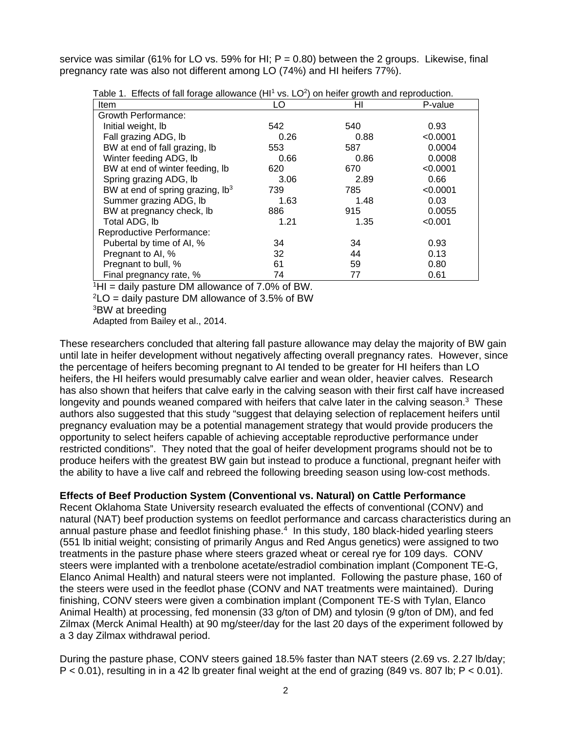service was similar (61% for LO vs. 59% for HI; P = 0.80) between the 2 groups. Likewise, final pregnancy rate was also not different among LO (74%) and HI heifers 77%).

| Item                                         | LO   | ΗI   | P-value  |
|----------------------------------------------|------|------|----------|
| Growth Performance:                          |      |      |          |
| Initial weight, Ib                           | 542  | 540  | 0.93     |
| Fall grazing ADG, lb                         | 0.26 | 0.88 | < 0.0001 |
| BW at end of fall grazing, lb                | 553  | 587  | 0.0004   |
| Winter feeding ADG, Ib                       | 0.66 | 0.86 | 0.0008   |
| BW at end of winter feeding, Ib              | 620  | 670  | < 0.0001 |
| Spring grazing ADG, Ib                       | 3.06 | 2.89 | 0.66     |
| BW at end of spring grazing, lb <sup>3</sup> | 739  | 785  | < 0.0001 |
| Summer grazing ADG, lb                       | 1.63 | 1.48 | 0.03     |
| BW at pregnancy check, lb                    | 886  | 915  | 0.0055   |
| Total ADG, lb                                | 1.21 | 1.35 | < 0.001  |
| Reproductive Performance:                    |      |      |          |
| Pubertal by time of AI, %                    | 34   | 34   | 0.93     |
| Pregnant to AI, %                            | 32   | 44   | 0.13     |
| Pregnant to bull, %                          | 61   | 59   | 0.80     |
| Final pregnancy rate, %                      | 74   | 77   | 0.61     |

Table 1. Effects of fall forage allowance  $(H1^1 \text{ vs. } LO^2)$  on heifer growth and reproduction.

 $^1$ HI = daily pasture DM allowance of 7.0% of BW.

 $2$ LO = daily pasture DM allowance of 3.5% of BW

3BW at breeding

Adapted from Bailey et al., 2014.

These researchers concluded that altering fall pasture allowance may delay the majority of BW gain until late in heifer development without negatively affecting overall pregnancy rates. However, since the percentage of heifers becoming pregnant to AI tended to be greater for HI heifers than LO heifers, the HI heifers would presumably calve earlier and wean older, heavier calves. Research has also shown that heifers that calve early in the calving season with their first calf have increased longevity and pounds weaned compared with heifers that calve later in the calving season.<sup>3</sup> These authors also suggested that this study "suggest that delaying selection of replacement heifers until pregnancy evaluation may be a potential management strategy that would provide producers the opportunity to select heifers capable of achieving acceptable reproductive performance under restricted conditions". They noted that the goal of heifer development programs should not be to produce heifers with the greatest BW gain but instead to produce a functional, pregnant heifer with the ability to have a live calf and rebreed the following breeding season using low-cost methods.

## **Effects of Beef Production System (Conventional vs. Natural) on Cattle Performance**

Recent Oklahoma State University research evaluated the effects of conventional (CONV) and natural (NAT) beef production systems on feedlot performance and carcass characteristics during an annual pasture phase and feedlot finishing phase.<sup>4</sup> In this study, 180 black-hided yearling steers (551 lb initial weight; consisting of primarily Angus and Red Angus genetics) were assigned to two treatments in the pasture phase where steers grazed wheat or cereal rye for 109 days. CONV steers were implanted with a trenbolone acetate/estradiol combination implant (Component TE-G, Elanco Animal Health) and natural steers were not implanted. Following the pasture phase, 160 of the steers were used in the feedlot phase (CONV and NAT treatments were maintained). During finishing, CONV steers were given a combination implant (Component TE-S with Tylan, Elanco Animal Health) at processing, fed monensin (33 g/ton of DM) and tylosin (9 g/ton of DM), and fed Zilmax (Merck Animal Health) at 90 mg/steer/day for the last 20 days of the experiment followed by a 3 day Zilmax withdrawal period.

During the pasture phase, CONV steers gained 18.5% faster than NAT steers (2.69 vs. 2.27 lb/day;  $P < 0.01$ ), resulting in in a 42 lb greater final weight at the end of grazing (849 vs. 807 lb;  $P < 0.01$ ).